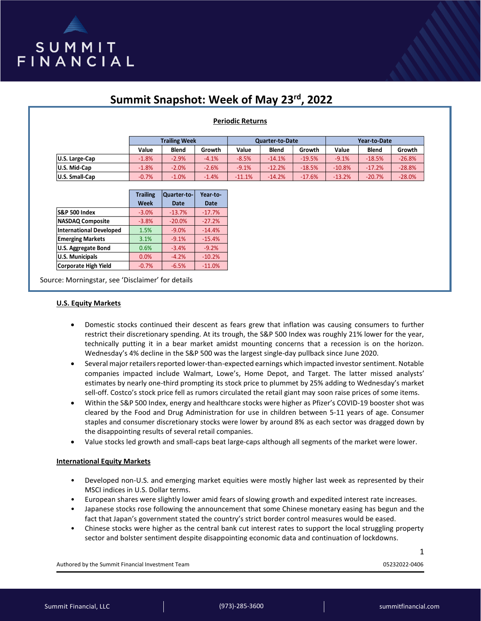

# **Summit Snapshot: Week of May 23rd, 2022**

## **Periodic Returns**

|                       | <b>Trailing Week</b> |              |         | <b>Quarter-to-Date</b> |              |          | Year-to-Date |              |          |
|-----------------------|----------------------|--------------|---------|------------------------|--------------|----------|--------------|--------------|----------|
|                       | Value                | <b>Blend</b> | Growth  | Value                  | <b>Blend</b> | Growth   | Value        | <b>Blend</b> | Growth   |
| U.S. Large-Cap        | $-1.8%$              | $-2.9%$      | $-4.1%$ | $-8.5%$                | $-14.1%$     | $-19.5%$ | $-9.1%$      | $-18.5%$     | $-26.8%$ |
| U.S. Mid-Cap          | $-1.8%$              | $-2.0%$      | $-2.6%$ | $-9.1%$                | $-12.2%$     | $-18.5%$ | $-10.8%$     | $-17.2%$     | $-28.8%$ |
| <b>U.S. Small-Cap</b> | $-0.7%$              | $-1.0%$      | $-1.4%$ | $-11.1%$               | $-14.2%$     | $-17.6%$ | $-13.2%$     | $-20.7%$     | $-28.0%$ |

|                                | <b>Trailing</b><br>Week | Quarter-to-<br><b>Date</b> | Year-to-<br><b>Date</b> |
|--------------------------------|-------------------------|----------------------------|-------------------------|
|                                |                         |                            |                         |
| S&P 500 Index                  | $-3.0%$                 | $-13.7%$                   | $-17.7%$                |
| <b>NASDAQ Composite</b>        | $-3.8%$                 | $-20.0%$                   | $-27.2%$                |
| <b>International Developed</b> | 1.5%                    | $-9.0%$                    | $-14.4%$                |
| <b>Emerging Markets</b>        | 3.1%                    | $-9.1%$                    | $-15.4%$                |
| <b>U.S. Aggregate Bond</b>     | 0.6%                    | $-3.4%$                    | $-9.2%$                 |
| <b>U.S. Municipals</b>         | 0.0%                    | $-4.2%$                    | $-10.2%$                |
| Corporate High Yield           | $-0.7%$                 | $-6.5%$                    | $-11.0%$                |

Source: Morningstar, see 'Disclaimer' for details

#### **U.S. Equity Markets**

- Domestic stocks continued their descent as fears grew that inflation was causing consumers to further restrict their discretionary spending. At its trough, the S&P 500 Index was roughly 21% lower for the year, technically putting it in a bear market amidst mounting concerns that a recession is on the horizon. Wednesday's 4% decline in the S&P 500 was the largest single-day pullback since June 2020.
- Several major retailers reported lower-than-expected earnings which impacted investor sentiment. Notable companies impacted include Walmart, Lowe's, Home Depot, and Target. The latter missed analysts' estimates by nearly one-third prompting its stock price to plummet by 25% adding to Wednesday's market sell-off. Costco's stock price fell as rumors circulated the retail giant may soon raise prices of some items.
- Within the S&P 500 Index, energy and healthcare stocks were higher as Pfizer's COVID-19 booster shot was cleared by the Food and Drug Administration for use in children between 5-11 years of age. Consumer staples and consumer discretionary stocks were lower by around 8% as each sector was dragged down by the disappointing results of several retail companies.
- Value stocks led growth and small-caps beat large-caps although all segments of the market were lower.

#### **International Equity Markets**

- Developed non-U.S. and emerging market equities were mostly higher last week as represented by their MSCI indices in U.S. Dollar terms.
- European shares were slightly lower amid fears of slowing growth and expedited interest rate increases.
- Japanese stocks rose following the announcement that some Chinese monetary easing has begun and the fact that Japan's government stated the country's strict border control measures would be eased.
- Chinese stocks were higher as the central bank cut interest rates to support the local struggling property sector and bolster sentiment despite disappointing economic data and continuation of lockdowns.

Authored by the Summit Financial Investment Team 05232022-0406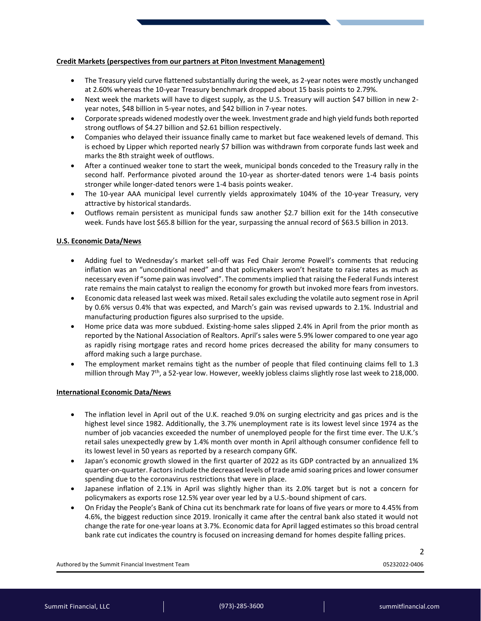## **Credit Markets (perspectives from our partners at Piton Investment Management)**

- The Treasury yield curve flattened substantially during the week, as 2-year notes were mostly unchanged at 2.60% whereas the 10-year Treasury benchmark dropped about 15 basis points to 2.79%.
- Next week the markets will have to digest supply, as the U.S. Treasury will auction \$47 billion in new 2 year notes, \$48 billion in 5-year notes, and \$42 billion in 7-year notes.
- Corporate spreads widened modestly over the week. Investment grade and high yield funds both reported strong outflows of \$4.27 billion and \$2.61 billion respectively.
- Companies who delayed their issuance finally came to market but face weakened levels of demand. This is echoed by Lipper which reported nearly \$7 billion was withdrawn from corporate funds last week and marks the 8th straight week of outflows.
- After a continued weaker tone to start the week, municipal bonds conceded to the Treasury rally in the second half. Performance pivoted around the 10-year as shorter-dated tenors were 1-4 basis points stronger while longer-dated tenors were 1-4 basis points weaker.
- The 10-year AAA municipal level currently yields approximately 104% of the 10-year Treasury, very attractive by historical standards.
- Outflows remain persistent as municipal funds saw another \$2.7 billion exit for the 14th consecutive week. Funds have lost \$65.8 billion for the year, surpassing the annual record of \$63.5 billion in 2013.

## **U.S. Economic Data/News**

- Adding fuel to Wednesday's market sell-off was Fed Chair Jerome Powell's comments that reducing inflation was an "unconditional need" and that policymakers won't hesitate to raise rates as much as necessary even if "some pain was involved". The comments implied that raising the Federal Funds interest rate remains the main catalyst to realign the economy for growth but invoked more fears from investors.
- Economic data released last week was mixed. Retail sales excluding the volatile auto segment rose in April by 0.6% versus 0.4% that was expected, and March's gain was revised upwards to 2.1%. Industrial and manufacturing production figures also surprised to the upside.
- Home price data was more subdued. Existing-home sales slipped 2.4% in April from the prior month as reported by the National Association of Realtors. April's sales were 5.9% lower compared to one year ago as rapidly rising mortgage rates and record home prices decreased the ability for many consumers to afford making such a large purchase.
- The employment market remains tight as the number of people that filed continuing claims fell to 1.3 million through May  $7<sup>th</sup>$ , a 52-year low. However, weekly jobless claims slightly rose last week to 218,000.

#### **International Economic Data/News**

- The inflation level in April out of the U.K. reached 9.0% on surging electricity and gas prices and is the highest level since 1982. Additionally, the 3.7% unemployment rate is its lowest level since 1974 as the number of job vacancies exceeded the number of unemployed people for the first time ever. The U.K.'s retail sales unexpectedly grew by 1.4% month over month in April although consumer confidence fell to its lowest level in 50 years as reported by a research company GfK.
- Japan's economic growth slowed in the first quarter of 2022 as its GDP contracted by an annualized 1% quarter-on-quarter. Factors include the decreased levels of trade amid soaring prices and lower consumer spending due to the coronavirus restrictions that were in place.
- Japanese inflation of 2.1% in April was slightly higher than its 2.0% target but is not a concern for policymakers as exports rose 12.5% year over year led by a U.S.-bound shipment of cars.
- On Friday the People's Bank of China cut its benchmark rate for loans of five years or more to 4.45% from 4.6%, the biggest reduction since 2019. Ironically it came after the central bank also stated it would not change the rate for one-year loans at 3.7%. Economic data for April lagged estimates so this broad central bank rate cut indicates the country is focused on increasing demand for homes despite falling prices.

Authored by the Summit Financial Investment Team 05232022-0406

2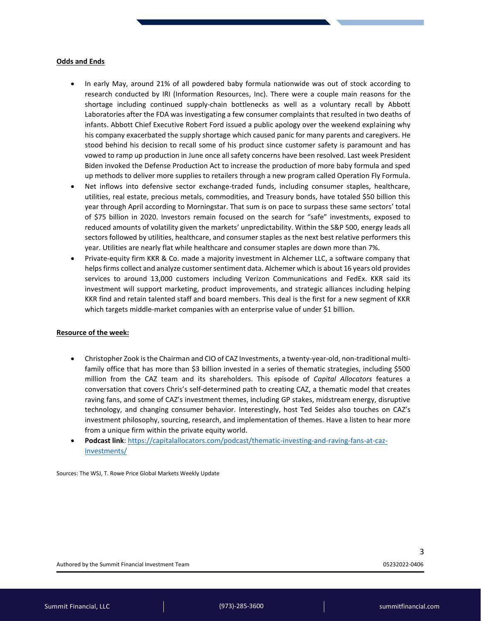#### **Odds and Ends**

- In early May, around 21% of all powdered baby formula nationwide was out of stock according to research conducted by IRI (Information Resources, Inc). There were a couple main reasons for the shortage including continued supply-chain bottlenecks as well as a voluntary recall by Abbott Laboratories after the FDA was investigating a few consumer complaints that resulted in two deaths of infants. Abbott Chief Executive Robert Ford issued a public apology over the weekend explaining why his company exacerbated the supply shortage which caused panic for many parents and caregivers. He stood behind his decision to recall some of his product since customer safety is paramount and has vowed to ramp up production in June once all safety concerns have been resolved. Last week President Biden invoked the Defense Production Act to increase the production of more baby formula and sped up methods to deliver more supplies to retailers through a new program called Operation Fly Formula.
- Net inflows into defensive sector exchange-traded funds, including consumer staples, healthcare, utilities, real estate, precious metals, commodities, and Treasury bonds, have totaled \$50 billion this year through April according to Morningstar. That sum is on pace to surpass these same sectors' total of \$75 billion in 2020. Investors remain focused on the search for "safe" investments, exposed to reduced amounts of volatility given the markets' unpredictability. Within the S&P 500, energy leads all sectors followed by utilities, healthcare, and consumer staples as the next best relative performers this year. Utilities are nearly flat while healthcare and consumer staples are down more than 7%.
- Private-equity firm KKR & Co. made a majority investment in Alchemer LLC, a software company that helps firms collect and analyze customer sentiment data. Alchemer which is about 16 years old provides services to around 13,000 customers including Verizon Communications and FedEx. KKR said its investment will support marketing, product improvements, and strategic alliances including helping KKR find and retain talented staff and board members. This deal is the first for a new segment of KKR which targets middle-market companies with an enterprise value of under \$1 billion.

## **Resource of the week:**

- Christopher Zook is the Chairman and CIO of CAZ Investments, a twenty-year-old, non-traditional multifamily office that has more than \$3 billion invested in a series of thematic strategies, including \$500 million from the CAZ team and its shareholders. This episode of *Capital Allocators* features a conversation that covers Chris's self-determined path to creating CAZ, a thematic model that creates raving fans, and some of CAZ's investment themes, including GP stakes, midstream energy, disruptive technology, and changing consumer behavior. Interestingly, host Ted Seides also touches on CAZ's investment philosophy, sourcing, research, and implementation of themes. Have a listen to hear more from a unique firm within the private equity world.
- **Podcast link**: [https://capitalallocators.com/podcast/thematic-investing-and-raving-fans-at-caz](https://capitalallocators.com/podcast/thematic-investing-and-raving-fans-at-caz-investments/)[investments/](https://capitalallocators.com/podcast/thematic-investing-and-raving-fans-at-caz-investments/)

Sources: The WSJ, T. Rowe Price Global Markets Weekly Update